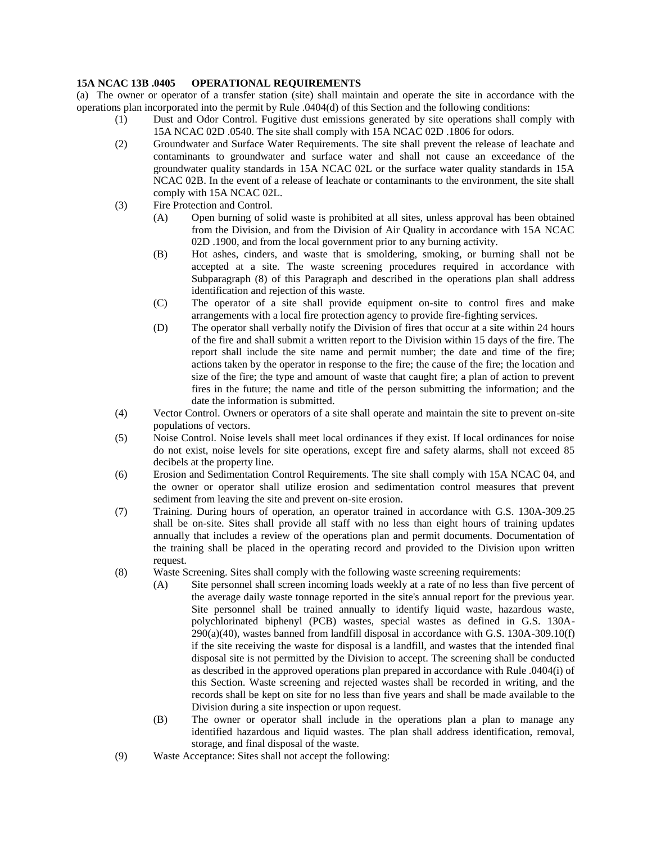## **15A NCAC 13B .0405 OPERATIONAL REQUIREMENTS**

(a) The owner or operator of a transfer station (site) shall maintain and operate the site in accordance with the operations plan incorporated into the permit by Rule .0404(d) of this Section and the following conditions:

- (1) Dust and Odor Control. Fugitive dust emissions generated by site operations shall comply with 15A NCAC 02D .0540. The site shall comply with 15A NCAC 02D .1806 for odors.
- (2) Groundwater and Surface Water Requirements. The site shall prevent the release of leachate and contaminants to groundwater and surface water and shall not cause an exceedance of the groundwater quality standards in 15A NCAC 02L or the surface water quality standards in 15A NCAC 02B. In the event of a release of leachate or contaminants to the environment, the site shall comply with 15A NCAC 02L.
- (3) Fire Protection and Control.
	- (A) Open burning of solid waste is prohibited at all sites, unless approval has been obtained from the Division, and from the Division of Air Quality in accordance with 15A NCAC 02D .1900, and from the local government prior to any burning activity.
	- (B) Hot ashes, cinders, and waste that is smoldering, smoking, or burning shall not be accepted at a site. The waste screening procedures required in accordance with Subparagraph (8) of this Paragraph and described in the operations plan shall address identification and rejection of this waste.
	- (C) The operator of a site shall provide equipment on-site to control fires and make arrangements with a local fire protection agency to provide fire-fighting services.
	- (D) The operator shall verbally notify the Division of fires that occur at a site within 24 hours of the fire and shall submit a written report to the Division within 15 days of the fire. The report shall include the site name and permit number; the date and time of the fire; actions taken by the operator in response to the fire; the cause of the fire; the location and size of the fire; the type and amount of waste that caught fire; a plan of action to prevent fires in the future; the name and title of the person submitting the information; and the date the information is submitted.
- (4) Vector Control. Owners or operators of a site shall operate and maintain the site to prevent on-site populations of vectors.
- (5) Noise Control. Noise levels shall meet local ordinances if they exist. If local ordinances for noise do not exist, noise levels for site operations, except fire and safety alarms, shall not exceed 85 decibels at the property line.
- (6) Erosion and Sedimentation Control Requirements. The site shall comply with 15A NCAC 04, and the owner or operator shall utilize erosion and sedimentation control measures that prevent sediment from leaving the site and prevent on-site erosion.
- (7) Training. During hours of operation, an operator trained in accordance with G.S. 130A-309.25 shall be on-site. Sites shall provide all staff with no less than eight hours of training updates annually that includes a review of the operations plan and permit documents. Documentation of the training shall be placed in the operating record and provided to the Division upon written request.
- (8) Waste Screening. Sites shall comply with the following waste screening requirements:
	- (A) Site personnel shall screen incoming loads weekly at a rate of no less than five percent of the average daily waste tonnage reported in the site's annual report for the previous year. Site personnel shall be trained annually to identify liquid waste, hazardous waste, polychlorinated biphenyl (PCB) wastes, special wastes as defined in G.S. 130A-290(a)(40), wastes banned from landfill disposal in accordance with G.S. 130A-309.10(f) if the site receiving the waste for disposal is a landfill, and wastes that the intended final disposal site is not permitted by the Division to accept. The screening shall be conducted as described in the approved operations plan prepared in accordance with Rule .0404(i) of this Section. Waste screening and rejected wastes shall be recorded in writing, and the records shall be kept on site for no less than five years and shall be made available to the Division during a site inspection or upon request.
	- (B) The owner or operator shall include in the operations plan a plan to manage any identified hazardous and liquid wastes. The plan shall address identification, removal, storage, and final disposal of the waste.
- (9) Waste Acceptance: Sites shall not accept the following: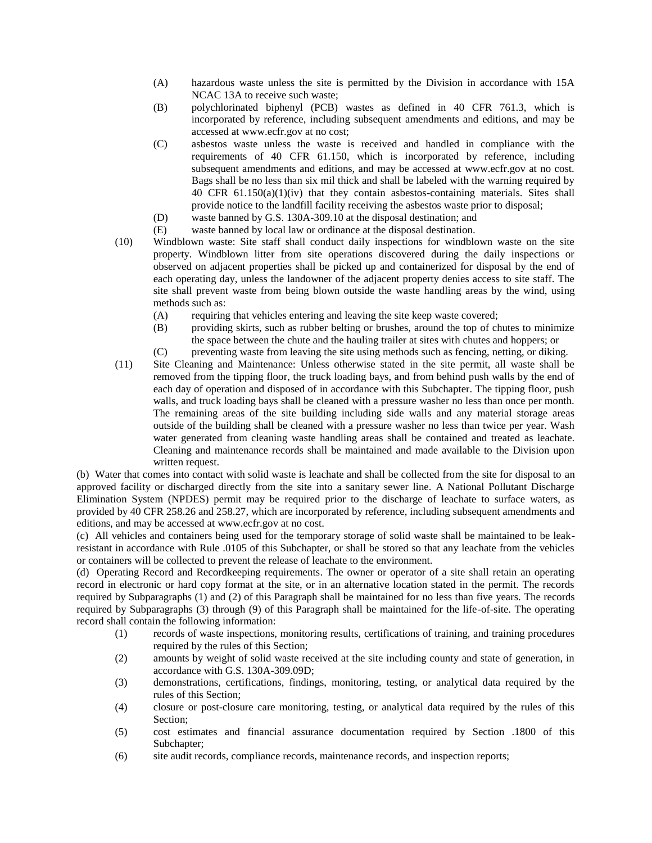- (A) hazardous waste unless the site is permitted by the Division in accordance with 15A NCAC 13A to receive such waste;
- (B) polychlorinated biphenyl (PCB) wastes as defined in 40 CFR 761.3, which is incorporated by reference, including subsequent amendments and editions, and may be accessed at www.ecfr.gov at no cost;
- (C) asbestos waste unless the waste is received and handled in compliance with the requirements of 40 CFR 61.150, which is incorporated by reference, including subsequent amendments and editions, and may be accessed at www.ecfr.gov at no cost. Bags shall be no less than six mil thick and shall be labeled with the warning required by 40 CFR 61.150(a)(1)(iv) that they contain asbestos-containing materials. Sites shall provide notice to the landfill facility receiving the asbestos waste prior to disposal;
- (D) waste banned by G.S. 130A-309.10 at the disposal destination; and
- (E) waste banned by local law or ordinance at the disposal destination.
- (10) Windblown waste: Site staff shall conduct daily inspections for windblown waste on the site property. Windblown litter from site operations discovered during the daily inspections or observed on adjacent properties shall be picked up and containerized for disposal by the end of each operating day, unless the landowner of the adjacent property denies access to site staff. The site shall prevent waste from being blown outside the waste handling areas by the wind, using methods such as:
	- (A) requiring that vehicles entering and leaving the site keep waste covered;
	- (B) providing skirts, such as rubber belting or brushes, around the top of chutes to minimize the space between the chute and the hauling trailer at sites with chutes and hoppers; or
	- (C) preventing waste from leaving the site using methods such as fencing, netting, or diking.
- (11) Site Cleaning and Maintenance: Unless otherwise stated in the site permit, all waste shall be removed from the tipping floor, the truck loading bays, and from behind push walls by the end of each day of operation and disposed of in accordance with this Subchapter. The tipping floor, push walls, and truck loading bays shall be cleaned with a pressure washer no less than once per month. The remaining areas of the site building including side walls and any material storage areas outside of the building shall be cleaned with a pressure washer no less than twice per year. Wash water generated from cleaning waste handling areas shall be contained and treated as leachate. Cleaning and maintenance records shall be maintained and made available to the Division upon written request.

(b) Water that comes into contact with solid waste is leachate and shall be collected from the site for disposal to an approved facility or discharged directly from the site into a sanitary sewer line. A National Pollutant Discharge Elimination System (NPDES) permit may be required prior to the discharge of leachate to surface waters, as provided by 40 CFR 258.26 and 258.27, which are incorporated by reference, including subsequent amendments and editions, and may be accessed at www.ecfr.gov at no cost.

(c) All vehicles and containers being used for the temporary storage of solid waste shall be maintained to be leakresistant in accordance with Rule .0105 of this Subchapter, or shall be stored so that any leachate from the vehicles or containers will be collected to prevent the release of leachate to the environment.

(d) Operating Record and Recordkeeping requirements. The owner or operator of a site shall retain an operating record in electronic or hard copy format at the site, or in an alternative location stated in the permit. The records required by Subparagraphs (1) and (2) of this Paragraph shall be maintained for no less than five years. The records required by Subparagraphs (3) through (9) of this Paragraph shall be maintained for the life-of-site. The operating record shall contain the following information:

- (1) records of waste inspections, monitoring results, certifications of training, and training procedures required by the rules of this Section;
- (2) amounts by weight of solid waste received at the site including county and state of generation, in accordance with G.S. 130A-309.09D;
- (3) demonstrations, certifications, findings, monitoring, testing, or analytical data required by the rules of this Section;
- (4) closure or post-closure care monitoring, testing, or analytical data required by the rules of this Section;
- (5) cost estimates and financial assurance documentation required by Section .1800 of this Subchapter;
- (6) site audit records, compliance records, maintenance records, and inspection reports;